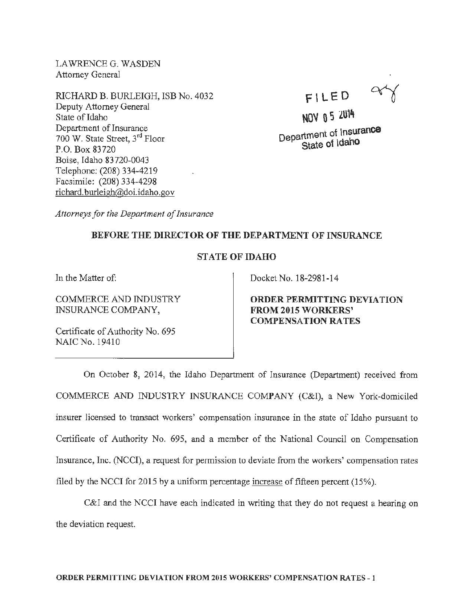LAWRENCE G. WASDEN Attorney General

RICHARD B. BURLEIGH, ISB No. 4032 Deputy Attorney General State of Idaho Department of Insurance 700 W. State Street, 3rd Floor P.O. Box 83720 Boise, Idaho 83 720-0043 Telephone: (208) 334-4219 Facsimile: (208) 334-4298 richard. burleigh@doi.idaho.gov

FtLED ~



NOV 0 5 2014 Department of insurance State of Idaho

*Attorneys for the Department of Insurance* 

## BEFORE THE DIRECTOR OF THE DEPARTMENT OF INSURANCE

## STATE OF IDAHO

In the Matter of:

COMMERCE AND INDUSTRY INSURANCE COMPANY,

Certificate of Authority No. 695 NAIC No. 19410

Docket No. 18-2981-14

ORDER PERMITTING DEVIATION FROM 2015 WORKERS' COMPENSATION RATES

On October 8, 2014, the Idaho Department of Insurance (Department) received from COMMERCE AND INDUSTRY INSURANCE COMPANY (C&I), a New York-domiciled insurer licensed to transact workers' compensation insurance in the state of Idaho pursuant to Certificate of Authority No. 695, and a member of the National Council on Compensation Insurance, Inc. (NCCI), a request for permission to deviate from the workers' compensation rates filed by the NCCI for 2015 by a uniform percentage increase of fifteen percent (15%).

C&l and the NCCI have each indicated in writing that they do not request a hearing on the deviation request.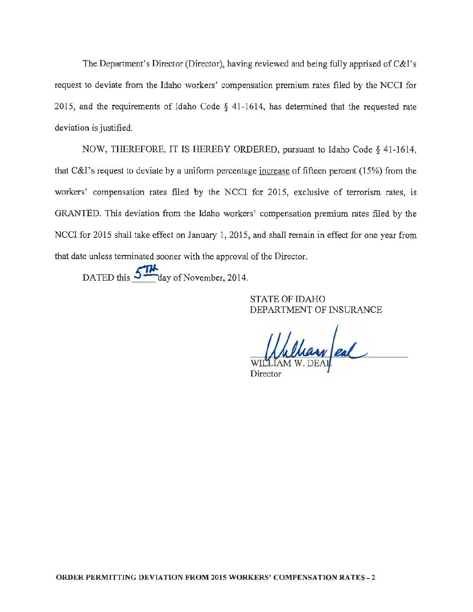The Department's Director (Director), having reviewed and being fully apprised of  $C&I$ 's request to deviate from the Idaho workers' compensation premium rates filed by the NCCI for 2015, and the requirements of Idaho Code  $\S$  41-1614, has determined that the requested rate deviation is justified.

NOW, THEREFORE, IT IS HEREBY ORDERED, pursuant to Idaho Code § 41-1614, that C&l' s request to deviate by a uniform percentage increase of fifteen percent ( 15%) from the workers' compensation rates filed by the NCCI for 2015, exclusive of terrorism rates, is GRANTED. This deviation from the Idaho workers' compensation premium rates filed by the NCCI for 2015 shall take effect on January 1, 2015, and shall remain in effect for one year from that date unless terminated sooner with the approval of the Director.

DATED this  $5\frac{m}{\sqrt{2}}$  day of November, 2014.

STATE OF IDAHO DEPARTMENT OF INSURANCE

William eal Director